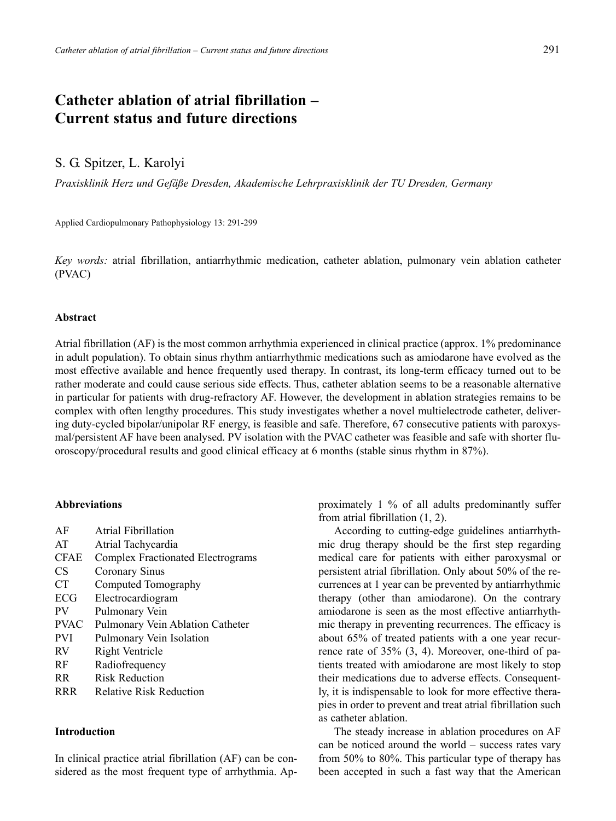# **Catheter ablation of atrial fibrillation – Current status and future directions**

# S. G. Spitzer, L. Karolyi

*Praxisklinik Herz und Gefäße Dresden, Akademische Lehrpraxisklinik der TU Dresden, Germany*

Applied Cardiopulmonary Pathophysiology 13: 291-299

*Key words:* atrial fibrillation, antiarrhythmic medication, catheter ablation, pulmonary vein ablation catheter (PVAC)

#### **Abstract**

Atrial fibrillation (AF) is the most common arrhythmia experienced in clinical practice (approx. 1% predominance in adult population). To obtain sinus rhythm antiarrhythmic medications such as amiodarone have evolved as the most effective available and hence frequently used therapy. In contrast, its long-term efficacy turned out to be rather moderate and could cause serious side effects. Thus, catheter ablation seems to be a reasonable alternative in particular for patients with drug-refractory AF. However, the development in ablation strategies remains to be complex with often lengthy procedures. This study investigates whether a novel multielectrode catheter, delivering duty-cycled bipolar/unipolar RF energy, is feasible and safe. Therefore, 67 consecutive patients with paroxysmal/persistent AF have been analysed. PV isolation with the PVAC catheter was feasible and safe with shorter fluoroscopy/procedural results and good clinical efficacy at 6 months (stable sinus rhythm in 87%).

# **Abbreviations**

| AF          | Atrial Fibrillation               |
|-------------|-----------------------------------|
| AT          | Atrial Tachycardia                |
| <b>CFAE</b> | Complex Fractionated Electrograms |
| CS          | Coronary Sinus                    |
| <b>CT</b>   | Computed Tomography               |
| ECG         | Electrocardiogram                 |
| PV          | Pulmonary Vein                    |
| <b>PVAC</b> | Pulmonary Vein Ablation Catheter  |
| <b>PVI</b>  | Pulmonary Vein Isolation          |
| RV          | Right Ventricle                   |
| RF          | Radiofrequency                    |
| RR          | <b>Risk Reduction</b>             |
| RRR         | <b>Relative Risk Reduction</b>    |
|             |                                   |

# **Introduction**

In clinical practice atrial fibrillation (AF) can be considered as the most frequent type of arrhythmia. Approximately 1 % of all adults predominantly suffer from atrial fibrillation (1, 2).

According to cutting-edge guidelines antiarrhythmic drug therapy should be the first step regarding medical care for patients with either paroxysmal or persistent atrial fibrillation. Only about 50% of the recurrences at 1 year can be prevented by antiarrhythmic therapy (other than amiodarone). On the contrary amiodarone is seen as the most effective antiarrhythmic therapy in preventing recurrences. The efficacy is about 65% of treated patients with a one year recurrence rate of 35% (3, 4). Moreover, one-third of patients treated with amiodarone are most likely to stop their medications due to adverse effects. Consequently, it is indispensable to look for more effective therapies in order to prevent and treat atrial fibrillation such as catheter ablation.

The steady increase in ablation procedures on AF can be noticed around the world – success rates vary from 50% to 80%. This particular type of therapy has been accepted in such a fast way that the American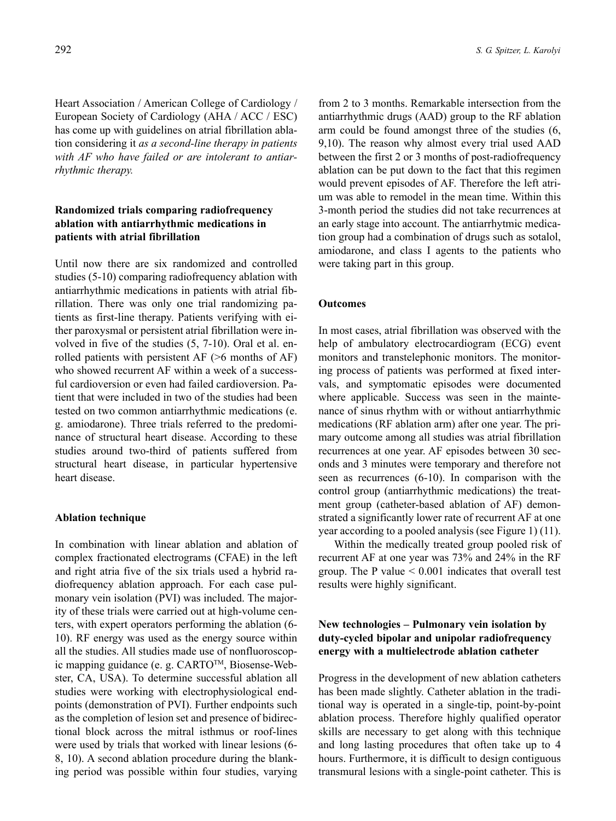Heart Association / American College of Cardiology / European Society of Cardiology (AHA / ACC / ESC) has come up with guidelines on atrial fibrillation ablation considering it *as a second-line therapy in patients with AF who have failed or are intolerant to antiarrhythmic therapy.* 

# **Randomized trials comparing radiofrequency ablation with antiarrhythmic medications in patients with atrial fibrillation**

Until now there are six randomized and controlled studies (5-10) comparing radiofrequency ablation with antiarrhythmic medications in patients with atrial fibrillation. There was only one trial randomizing patients as first-line therapy. Patients verifying with either paroxysmal or persistent atrial fibrillation were involved in five of the studies (5, 7-10). Oral et al. enrolled patients with persistent AF (>6 months of AF) who showed recurrent AF within a week of a successful cardioversion or even had failed cardioversion. Patient that were included in two of the studies had been tested on two common antiarrhythmic medications (e. g. amiodarone). Three trials referred to the predominance of structural heart disease. According to these studies around two-third of patients suffered from structural heart disease, in particular hypertensive heart disease.

#### **Ablation technique**

In combination with linear ablation and ablation of complex fractionated electrograms (CFAE) in the left and right atria five of the six trials used a hybrid radiofrequency ablation approach. For each case pulmonary vein isolation (PVI) was included. The majority of these trials were carried out at high-volume centers, with expert operators performing the ablation (6- 10). RF energy was used as the energy source within all the studies. All studies made use of nonfluoroscopic mapping guidance (e. g. CARTOTM, Biosense-Webster, CA, USA). To determine successful ablation all studies were working with electrophysiological endpoints (demonstration of PVI). Further endpoints such as the completion of lesion set and presence of bidirectional block across the mitral isthmus or roof-lines were used by trials that worked with linear lesions (6- 8, 10). A second ablation procedure during the blanking period was possible within four studies, varying

from 2 to 3 months. Remarkable intersection from the antiarrhythmic drugs (AAD) group to the RF ablation arm could be found amongst three of the studies (6, 9,10). The reason why almost every trial used AAD between the first 2 or 3 months of post-radiofrequency ablation can be put down to the fact that this regimen would prevent episodes of AF. Therefore the left atrium was able to remodel in the mean time. Within this 3-month period the studies did not take recurrences at an early stage into account. The antiarrhytmic medication group had a combination of drugs such as sotalol, amiodarone, and class I agents to the patients who were taking part in this group.

## **Outcomes**

In most cases, atrial fibrillation was observed with the help of ambulatory electrocardiogram (ECG) event monitors and transtelephonic monitors. The monitoring process of patients was performed at fixed intervals, and symptomatic episodes were documented where applicable. Success was seen in the maintenance of sinus rhythm with or without antiarrhythmic medications (RF ablation arm) after one year. The primary outcome among all studies was atrial fibrillation recurrences at one year. AF episodes between 30 seconds and 3 minutes were temporary and therefore not seen as recurrences (6-10). In comparison with the control group (antiarrhythmic medications) the treatment group (catheter-based ablation of AF) demonstrated a significantly lower rate of recurrent AF at one year according to a pooled analysis (see Figure 1) (11).

Within the medically treated group pooled risk of recurrent AF at one year was 73% and 24% in the RF group. The P value  $\leq 0.001$  indicates that overall test results were highly significant.

# **New technologies – Pulmonary vein isolation by duty-cycled bipolar and unipolar radiofrequency energy with a multielectrode ablation catheter**

Progress in the development of new ablation catheters has been made slightly. Catheter ablation in the traditional way is operated in a single-tip, point-by-point ablation process. Therefore highly qualified operator skills are necessary to get along with this technique and long lasting procedures that often take up to 4 hours. Furthermore, it is difficult to design contiguous transmural lesions with a single-point catheter. This is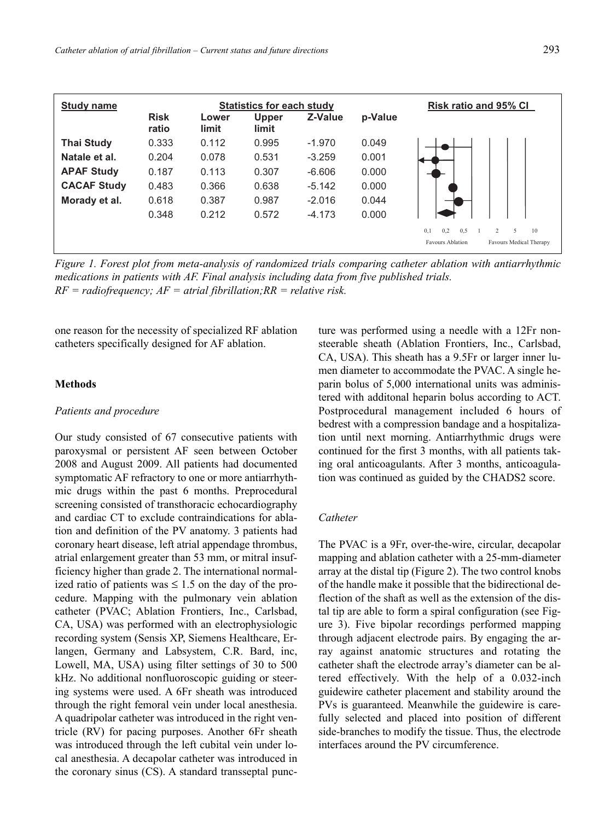| Study name         | <b>Statistics for each study</b> |                |                       | <b>Risk ratio and 95% CI</b> |         |                                                |
|--------------------|----------------------------------|----------------|-----------------------|------------------------------|---------|------------------------------------------------|
|                    | <b>Risk</b><br>ratio             | Lower<br>limit | <b>Upper</b><br>limit | Z-Value                      | p-Value |                                                |
| <b>Thai Study</b>  | 0.333                            | 0.112          | 0.995                 | $-1.970$                     | 0.049   |                                                |
| Natale et al.      | 0.204                            | 0.078          | 0.531                 | $-3.259$                     | 0.001   |                                                |
| <b>APAF Study</b>  | 0.187                            | 0.113          | 0.307                 | $-6.606$                     | 0.000   |                                                |
| <b>CACAF Study</b> | 0.483                            | 0.366          | 0.638                 | $-5.142$                     | 0.000   |                                                |
| Morady et al.      | 0.618                            | 0.387          | 0.987                 | $-2.016$                     | 0.044   |                                                |
|                    | 0.348                            | 0.212          | 0.572                 | $-4.173$                     | 0.000   |                                                |
|                    |                                  |                |                       |                              |         | 0.2<br>5<br>0.1<br>0.5<br>10<br>$\mathfrak{D}$ |
|                    |                                  |                |                       |                              |         | Favours Ablation<br>Favours Medical Therapy    |

*Figure 1. Forest plot from meta-analysis of randomized trials comparing catheter ablation with antiarrhythmic medications in patients with AF. Final analysis including data from five published trials. RF = radiofrequency; AF = atrial fibrillation;RR = relative risk.*

one reason for the necessity of specialized RF ablation catheters specifically designed for AF ablation.

# **Methods**

### *Patients and procedure*

Our study consisted of 67 consecutive patients with paroxysmal or persistent AF seen between October 2008 and August 2009. All patients had documented symptomatic AF refractory to one or more antiarrhythmic drugs within the past 6 months. Preprocedural screening consisted of transthoracic echocardiography and cardiac CT to exclude contraindications for ablation and definition of the PV anatomy. 3 patients had coronary heart disease, left atrial appendage thrombus, atrial enlargement greater than 53 mm, or mitral insufficiency higher than grade 2. The international normalized ratio of patients was  $\leq 1.5$  on the day of the procedure. Mapping with the pulmonary vein ablation catheter (PVAC; Ablation Frontiers, Inc., Carlsbad, CA, USA) was performed with an electrophysiologic recording system (Sensis XP, Siemens Healthcare, Erlangen, Germany and Labsystem, C.R. Bard, inc, Lowell, MA, USA) using filter settings of 30 to 500 kHz. No additional nonfluoroscopic guiding or steering systems were used. A 6Fr sheath was introduced through the right femoral vein under local anesthesia. A quadripolar catheter was introduced in the right ventricle (RV) for pacing purposes. Another 6Fr sheath was introduced through the left cubital vein under local anesthesia. A decapolar catheter was introduced in the coronary sinus (CS). A standard transseptal puncture was performed using a needle with a 12Fr nonsteerable sheath (Ablation Frontiers, Inc., Carlsbad, CA, USA). This sheath has a 9.5Fr or larger inner lumen diameter to accommodate the PVAC. A single heparin bolus of 5,000 international units was administered with additonal heparin bolus according to ACT. Postprocedural management included 6 hours of bedrest with a compression bandage and a hospitalization until next morning. Antiarrhythmic drugs were continued for the first 3 months, with all patients taking oral anticoagulants. After 3 months, anticoagulation was continued as guided by the CHADS2 score.

## *Catheter*

The PVAC is a 9Fr, over-the-wire, circular, decapolar mapping and ablation catheter with a 25-mm-diameter array at the distal tip (Figure 2). The two control knobs of the handle make it possible that the bidirectional deflection of the shaft as well as the extension of the distal tip are able to form a spiral configuration (see Figure 3). Five bipolar recordings performed mapping through adjacent electrode pairs. By engaging the array against anatomic structures and rotating the catheter shaft the electrode array's diameter can be altered effectively. With the help of a 0.032-inch guidewire catheter placement and stability around the PVs is guaranteed. Meanwhile the guidewire is carefully selected and placed into position of different side-branches to modify the tissue. Thus, the electrode interfaces around the PV circumference.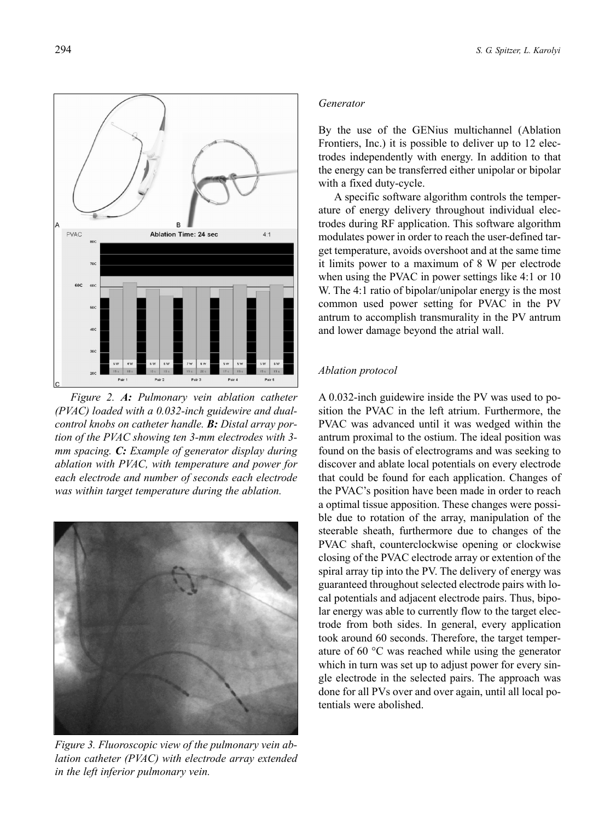$\overline{B}$ PVAC **Ablation Time: 24 sec**  $4.1$ Pair 1  $Pair 2$ Pair 3 Pair 4 Pair 5

*Figure 2. A: Pulmonary vein ablation catheter (PVAC) loaded with a 0.032-inch guidewire and dualcontrol knobs on catheter handle. B: Distal array portion of the PVAC showing ten 3-mm electrodes with 3 mm spacing. C: Example of generator display during ablation with PVAC, with temperature and power for each electrode and number of seconds each electrode was within target temperature during the ablation.*



*Figure 3. Fluoroscopic view of the pulmonary vein ablation catheter (PVAC) with electrode array extended in the left inferior pulmonary vein.* 

#### *Generator*

By the use of the GENius multichannel (Ablation Frontiers, Inc.) it is possible to deliver up to 12 electrodes independently with energy. In addition to that the energy can be transferred either unipolar or bipolar with a fixed duty-cycle.

A specific software algorithm controls the temperature of energy delivery throughout individual electrodes during RF application. This software algorithm modulates power in order to reach the user-defined target temperature, avoids overshoot and at the same time it limits power to a maximum of 8 W per electrode when using the PVAC in power settings like 4:1 or 10 W. The 4:1 ratio of bipolar/unipolar energy is the most common used power setting for PVAC in the PV antrum to accomplish transmurality in the PV antrum and lower damage beyond the atrial wall.

#### *Ablation protocol*

A 0.032-inch guidewire inside the PV was used to position the PVAC in the left atrium. Furthermore, the PVAC was advanced until it was wedged within the antrum proximal to the ostium. The ideal position was found on the basis of electrograms and was seeking to discover and ablate local potentials on every electrode that could be found for each application. Changes of the PVAC's position have been made in order to reach a optimal tissue apposition. These changes were possible due to rotation of the array, manipulation of the steerable sheath, furthermore due to changes of the PVAC shaft, counterclockwise opening or clockwise closing of the PVAC electrode array or extention of the spiral array tip into the PV. The delivery of energy was guaranteed throughout selected electrode pairs with local potentials and adjacent electrode pairs. Thus, bipolar energy was able to currently flow to the target electrode from both sides. In general, every application took around 60 seconds. Therefore, the target temperature of 60 °C was reached while using the generator which in turn was set up to adjust power for every single electrode in the selected pairs. The approach was done for all PVs over and over again, until all local potentials were abolished.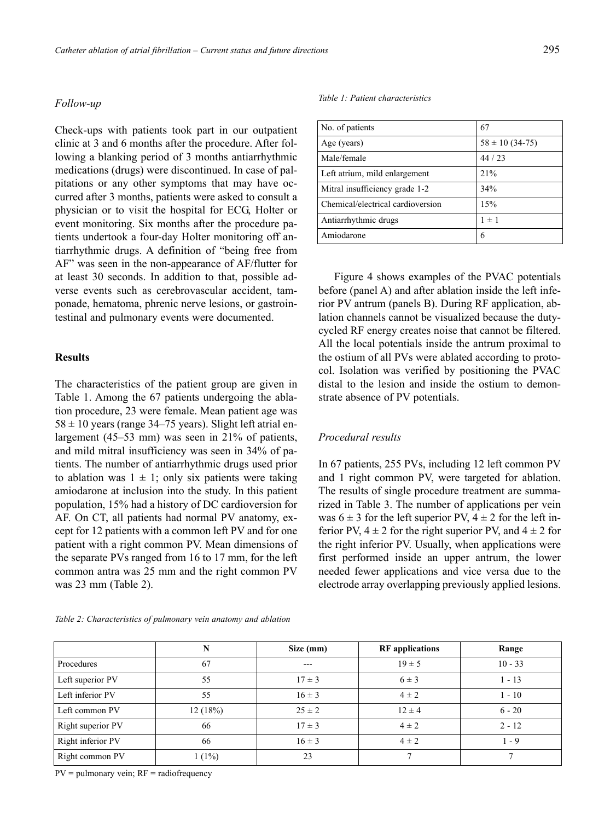#### *Follow-up*

Check-ups with patients took part in our outpatient clinic at 3 and 6 months after the procedure. After following a blanking period of 3 months antiarrhythmic medications (drugs) were discontinued. In case of palpitations or any other symptoms that may have occurred after 3 months, patients were asked to consult a physician or to visit the hospital for ECG, Holter or event monitoring. Six months after the procedure patients undertook a four-day Holter monitoring off antiarrhythmic drugs. A definition of "being free from AF" was seen in the non-appearance of AF/flutter for at least 30 seconds. In addition to that, possible adverse events such as cerebrovascular accident, tamponade, hematoma, phrenic nerve lesions, or gastrointestinal and pulmonary events were documented.

#### **Results**

The characteristics of the patient group are given in Table 1. Among the 67 patients undergoing the ablation procedure, 23 were female. Mean patient age was  $58 \pm 10$  years (range 34–75 years). Slight left atrial enlargement (45–53 mm) was seen in 21% of patients, and mild mitral insufficiency was seen in 34% of patients. The number of antiarrhythmic drugs used prior to ablation was  $1 \pm 1$ ; only six patients were taking amiodarone at inclusion into the study. In this patient population, 15% had a history of DC cardioversion for AF. On CT, all patients had normal PV anatomy, except for 12 patients with a common left PV and for one patient with a right common PV. Mean dimensions of the separate PVs ranged from 16 to 17 mm, for the left common antra was 25 mm and the right common PV was 23 mm (Table 2).

#### *Table 2: Characteristics of pulmonary vein anatomy and ablation*

#### *Table 1: Patient characteristics*

| No. of patients                   | 67                    |
|-----------------------------------|-----------------------|
| Age (years)                       | $58 \pm 10 (34 - 75)$ |
| Male/female                       | 44/23                 |
| Left atrium, mild enlargement     | 21%                   |
| Mitral insufficiency grade 1-2    | 34%                   |
| Chemical/electrical cardioversion | 15%                   |
| Antiarrhythmic drugs              | $1 \pm 1$             |
| Amiodarone                        | 6                     |

Figure 4 shows examples of the PVAC potentials before (panel A) and after ablation inside the left inferior PV antrum (panels B). During RF application, ablation channels cannot be visualized because the dutycycled RF energy creates noise that cannot be filtered. All the local potentials inside the antrum proximal to the ostium of all PVs were ablated according to protocol. Isolation was verified by positioning the PVAC distal to the lesion and inside the ostium to demonstrate absence of PV potentials.

# *Procedural results*

In 67 patients, 255 PVs, including 12 left common PV and 1 right common PV, were targeted for ablation. The results of single procedure treatment are summarized in Table 3. The number of applications per vein was  $6 \pm 3$  for the left superior PV,  $4 \pm 2$  for the left inferior PV,  $4 \pm 2$  for the right superior PV, and  $4 \pm 2$  for the right inferior PV. Usually, when applications were first performed inside an upper antrum, the lower needed fewer applications and vice versa due to the electrode array overlapping previously applied lesions.

|                   | N        | Size (mm)  | <b>RF</b> applications | Range        |
|-------------------|----------|------------|------------------------|--------------|
| Procedures        | 67       | $---$      | $19 \pm 5$             | $10 - 33$    |
| Left superior PV  | 55       | $17 \pm 3$ | $6 \pm 3$              | $1 - 13$     |
| Left inferior PV  | 55       | $16 \pm 3$ | $4 \pm 2$              | $1 - 10$     |
| Left common PV    | 12(18%)  | $25 \pm 2$ | $12 \pm 4$             | $6 - 20$     |
| Right superior PV | 66       | $17 \pm 3$ | $4 \pm 2$              | $2 - 12$     |
| Right inferior PV | 66       | $16 \pm 3$ | $4 \pm 2$              | $1 - 9$      |
| Right common PV   | $1(1\%)$ | 23         | 7                      | $\mathbf{r}$ |

 $PV =$  pulmonary vein;  $RF =$  radiofrequency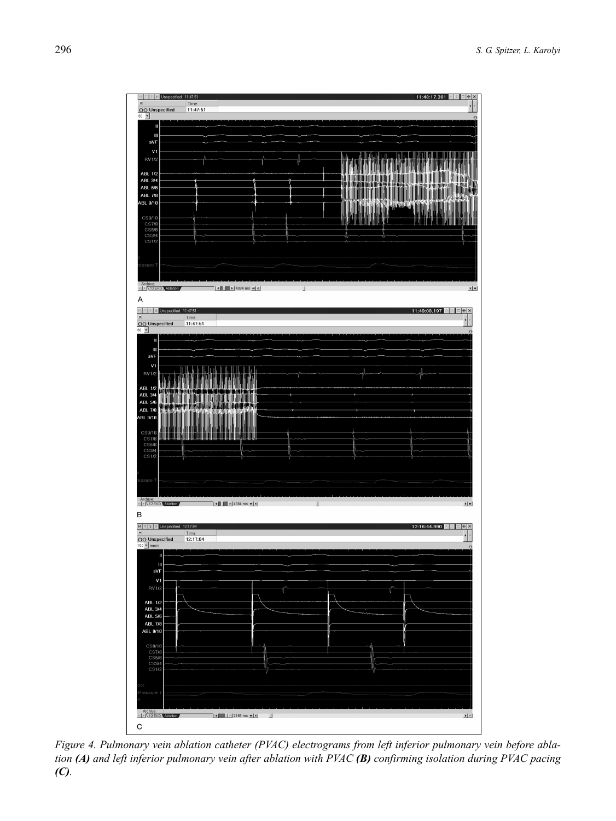

*Figure 4. Pulmonary vein ablation catheter (PVAC) electrograms from left inferior pulmonary vein before ablation (A) and left inferior pulmonary vein after ablation with PVAC (B) confirming isolation during PVAC pacing (C).*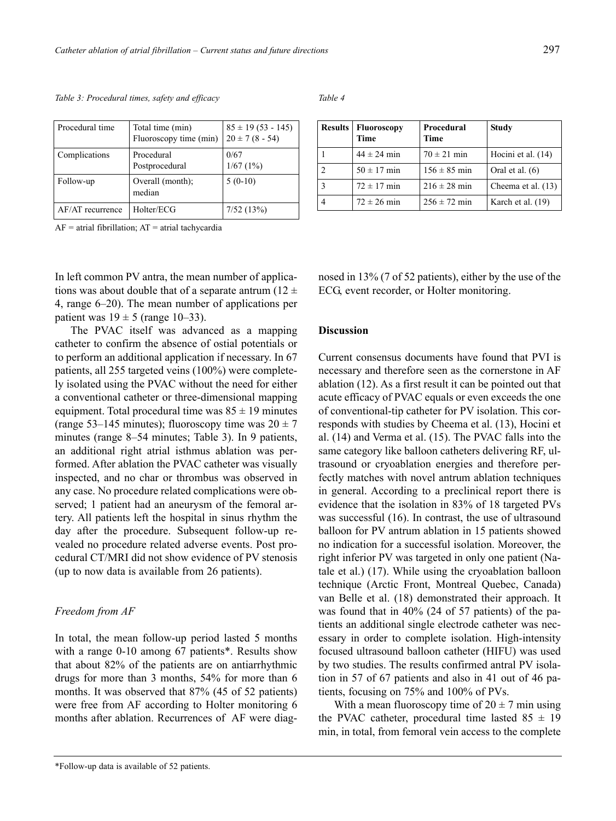| Procedural time  | Total time (min)<br>Fluoroscopy time (min) | $85 \pm 19 (53 - 145)$<br>$20 \pm 7 (8 - 54)$ |
|------------------|--------------------------------------------|-----------------------------------------------|
| Complications    | Procedural<br>Postprocedural               | 0/67<br>1/67(1%)                              |
| Follow-up        | Overall (month);<br>median                 | $5(0-10)$                                     |
| AF/AT recurrence | Holter/ECG                                 | 7/52(13%)                                     |

 $AF =$  atrial fibrillation;  $AT =$  atrial tachycardia

In left common PV antra, the mean number of applications was about double that of a separate antrum (12  $\pm$ 4, range 6–20). The mean number of applications per patient was  $19 \pm 5$  (range 10–33).

The PVAC itself was advanced as a mapping catheter to confirm the absence of ostial potentials or to perform an additional application if necessary. In 67 patients, all 255 targeted veins (100%) were completely isolated using the PVAC without the need for either a conventional catheter or three-dimensional mapping equipment. Total procedural time was  $85 \pm 19$  minutes (range 53–145 minutes); fluoroscopy time was  $20 \pm 7$ minutes (range 8–54 minutes; Table 3). In 9 patients, an additional right atrial isthmus ablation was performed. After ablation the PVAC catheter was visually inspected, and no char or thrombus was observed in any case. No procedure related complications were observed; 1 patient had an aneurysm of the femoral artery. All patients left the hospital in sinus rhythm the day after the procedure. Subsequent follow-up revealed no procedure related adverse events. Post procedural CT/MRI did not show evidence of PV stenosis (up to now data is available from 26 patients).

### *Freedom from AF*

In total, the mean follow-up period lasted 5 months with a range 0-10 among 67 patients\*. Results show that about 82% of the patients are on antiarrhythmic drugs for more than 3 months, 54% for more than 6 months. It was observed that 87% (45 of 52 patients) were free from AF according to Holter monitoring 6 months after ablation. Recurrences of AF were diag-

*Table 4* 

| <b>Results</b> | <b>Fluoroscopy</b><br>Time | Procedural<br>Time | <b>Study</b>       |
|----------------|----------------------------|--------------------|--------------------|
|                | $44 \pm 24$ min            | $70 \pm 21$ min    | Hocini et al. (14) |
|                | $50 \pm 17$ min            | $156 \pm 85$ min   | Oral et al. $(6)$  |
|                | $72 \pm 17$ min            | $216 \pm 28$ min   | Cheema et al. (13) |
|                | $72 \pm 26$ min            | $256 \pm 72$ min   | Karch et al. (19)  |

nosed in 13% (7 of 52 patients), either by the use of the ECG, event recorder, or Holter monitoring.

# **Discussion**

Current consensus documents have found that PVI is necessary and therefore seen as the cornerstone in AF ablation (12). As a first result it can be pointed out that acute efficacy of PVAC equals or even exceeds the one of conventional-tip catheter for PV isolation. This corresponds with studies by Cheema et al. (13), Hocini et al. (14) and Verma et al. (15). The PVAC falls into the same category like balloon catheters delivering RF, ultrasound or cryoablation energies and therefore perfectly matches with novel antrum ablation techniques in general. According to a preclinical report there is evidence that the isolation in 83% of 18 targeted PVs was successful (16). In contrast, the use of ultrasound balloon for PV antrum ablation in 15 patients showed no indication for a successful isolation. Moreover, the right inferior PV was targeted in only one patient (Natale et al.) (17). While using the cryoablation balloon technique (Arctic Front, Montreal Quebec, Canada) van Belle et al. (18) demonstrated their approach. It was found that in 40% (24 of 57 patients) of the patients an additional single electrode catheter was necessary in order to complete isolation. High-intensity focused ultrasound balloon catheter (HIFU) was used by two studies. The results confirmed antral PV isolation in 57 of 67 patients and also in 41 out of 46 patients, focusing on 75% and 100% of PVs.

With a mean fluoroscopy time of  $20 \pm 7$  min using the PVAC catheter, procedural time lasted  $85 \pm 19$ min, in total, from femoral vein access to the complete

<sup>\*</sup>Follow-up data is available of 52 patients.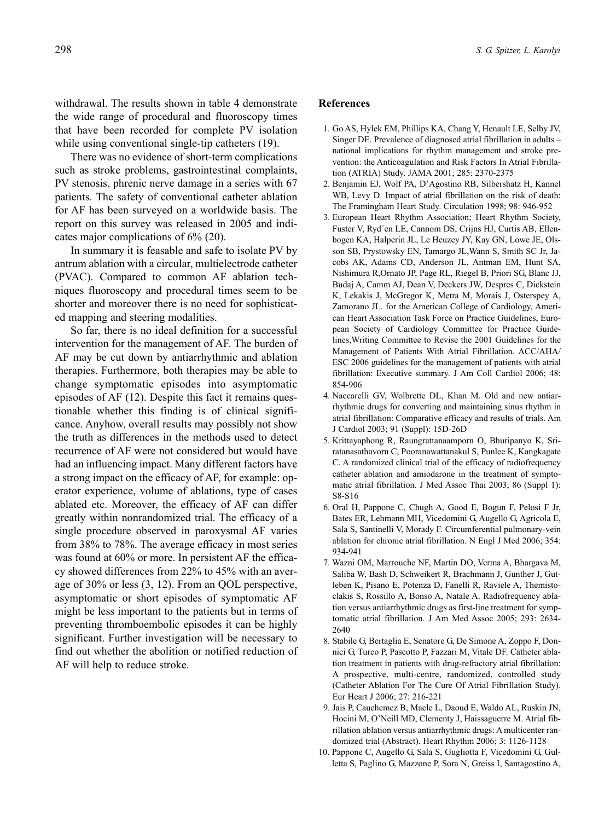withdrawal. The results shown in table 4 demonstrate the wide range of procedural and fluoroscopy times that have been recorded for complete PV isolation while using conventional single-tip catheters (19).

There was no evidence of short-term complications such as stroke problems, gastrointestinal complaints, PV stenosis, phrenic nerve damage in a series with 67 patients. The safety of conventional catheter ablation for AF has been surveyed on a worldwide basis. The report on this survey was released in 2005 and indicates major complications of 6% (20).

In summary it is feasable and safe to isolate PV by antrum ablation with a circular, multielectrode catheter (PVAC). Compared to common AF ablation techniques fluoroscopy and procedural times seem to be shorter and moreover there is no need for sophisticated mapping and steering modalities.

So far, there is no ideal definition for a successful intervention for the management of AF. The burden of AF may be cut down by antiarrhythmic and ablation therapies. Furthermore, both therapies may be able to change symptomatic episodes into asymptomatic episodes of AF (12). Despite this fact it remains questionable whether this finding is of clinical significance. Anyhow, overall results may possibly not show the truth as differences in the methods used to detect recurrence of AF were not considered but would have had an influencing impact. Many different factors have a strong impact on the efficacy of AF, for example: operator experience, volume of ablations, type of cases ablated etc. Moreover, the efficacy of AF can differ greatly within nonrandomized trial. The efficacy of a single procedure observed in paroxysmal AF varies from 38% to 78%. The average efficacy in most series was found at 60% or more. In persistent AF the efficacy showed differences from 22% to 45% with an average of 30% or less (3, 12). From an QOL perspective, asymptomatic or short episodes of symptomatic AF might be less important to the patients but in terms of preventing thromboembolic episodes it can be highly significant. Further investigation will be necessary to find out whether the abolition or notified reduction of AF will help to reduce stroke.

#### **References**

- 1. Go AS, Hylek EM, Phillips KA, Chang Y, Henault LE, Selby JV, Singer DE. Prevalence of diagnosed atrial fibrillation in adults – national implications for rhythm management and stroke prevention: the Anticoagulation and Risk Factors In Atrial Fibrillation (ATRIA) Study. JAMA 2001; 285: 2370-2375
- 2. Benjamin EJ, Wolf PA, D'Agostino RB, Silbershatz H, Kannel WB, Levy D. Impact of atrial fibrillation on the risk of death: The Framingham Heart Study. Circulation 1998; 98: 946-952
- 3. European Heart Rhythm Association; Heart Rhythm Society, Fuster V, Ryd´en LE, Cannom DS, Crijns HJ, Curtis AB, Ellenbogen KA, Halperin JL, Le Heuzey JY, Kay GN, Lowe JE, Olsson SB, Prystowsky EN, Tamargo JL,Wann S, Smith SC Jr, Jacobs AK, Adams CD, Anderson JL, Antman EM, Hunt SA, Nishimura R,Ornato JP, Page RL, Riegel B, Priori SG, Blanc JJ, Budaj A, Camm AJ, Dean V, Deckers JW, Despres C, Dickstein K, Lekakis J, McGregor K, Metra M, Morais J, Osterspey A, Zamorano JL. for the American College of Cardiology, American Heart Association Task Force on Practice Guidelines, European Society of Cardiology Committee for Practice Guidelines,Writing Committee to Revise the 2001 Guidelines for the Management of Patients With Atrial Fibrillation. ACC/AHA/ ESC 2006 guidelines for the management of patients with atrial fibrillation: Executive summary. J Am Coll Cardiol 2006; 48: 854-906
- 4. Naccarelli GV, Wolbrette DL, Khan M. Old and new antiarrhythmic drugs for converting and maintaining sinus rhythm in atrial fibrillation: Comparative efficacy and results of trials. Am J Cardiol 2003; 91 (Suppl): 15D-26D
- 5. Krittayaphong R, Raungrattanaamporn O, Bhuripanyo K, Sriratanasathavorn C, Pooranawattanakul S, Punlee K, Kangkagate C. A randomized clinical trial of the efficacy of radiofrequency catheter ablation and amiodarone in the treatment of symptomatic atrial fibrillation. J Med Assoc Thai 2003; 86 (Suppl 1): S8-S16
- 6. Oral H, Pappone C, Chugh A, Good E, Bogun F, Pelosi F Jr, Bates ER, Lehmann MH, Vicedomini G, Augello G, Agricola E, Sala S, Santinelli V, Morady F. Circumferential pulmonary-vein ablation for chronic atrial fibrillation. N Engl J Med 2006; 354: 934-941
- 7. Wazni OM, Marrouche NF, Martin DO, Verma A, Bhargava M, Saliba W, Bash D, Schweikert R, Brachmann J, Gunther J, Gutleben K, Pisano E, Potenza D, Fanelli R, Raviele A, Themistoclakis S, Rossillo A, Bonso A, Natale A. Radiofrequency ablation versus antiarrhythmic drugs as first-line treatment for symptomatic atrial fibrillation. J Am Med Assoc 2005; 293: 2634- 2640
- 8. Stabile G, Bertaglia E, Senatore G, De Simone A, Zoppo F, Donnici G, Turco P, Pascotto P, Fazzari M, Vitale DF. Catheter ablation treatment in patients with drug-refractory atrial fibrillation: A prospective, multi-centre, randomized, controlled study (Catheter Ablation For The Cure Of Atrial Fibrillation Study). Eur Heart J 2006; 27: 216-221
- 9. Jais P, Cauchemez B, Macle L, Daoud E, Waldo AL, Ruskin JN, Hocini M, O'Neill MD, Clementy J, Haissaguerre M. Atrial fibrillation ablation versus antiarrhythmic drugs: A multicenter randomized trial (Abstract). Heart Rhythm 2006; 3: 1126-1128
- 10. Pappone C, Augello G, Sala S, Gugliotta F, Vicedomini G, Gulletta S, Paglino G, Mazzone P, Sora N, Greiss I, Santagostino A,